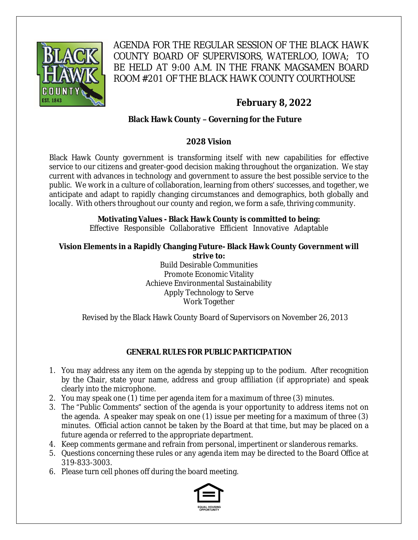

AGENDA FOR THE REGULAR SESSION OF THE BLACK HAWK COUNTY BOARD OF SUPERVISORS, WATERLOO, IOWA; TO BE HELD AT 9:00 A.M. IN THE FRANK MAGSAMEN BOARD ROOM #201 OF THE BLACK HAWK COUNTY COURTHOUSE

# **February 8, 2022**

### **Black Hawk County – Governing for the Future**

### **2028 Vision**

Black Hawk County government is transforming itself with new capabilities for effective service to our citizens and greater-good decision making throughout the organization. We stay current with advances in technology and government to assure the best possible service to the public. We work in a culture of collaboration, learning from others' successes, and together, we anticipate and adapt to rapidly changing circumstances and demographics, both globally and locally. With others throughout our county and region, we form a safe, thriving community.

## **Motivating Values - Black Hawk County is committed to being:**

Effective Responsible Collaborative Efficient Innovative Adaptable

#### **Vision Elements in a Rapidly Changing Future- Black Hawk County Government will strive to:**

Build Desirable Communities Promote Economic Vitality Achieve Environmental Sustainability Apply Technology to Serve Work Together

Revised by the Black Hawk County Board of Supervisors on November 26, 2013

### **GENERAL RULES FOR PUBLIC PARTICIPATION**

- 1. You may address any item on the agenda by stepping up to the podium. After recognition by the Chair, state your name, address and group affiliation (if appropriate) and speak clearly into the microphone.
- 2. You may speak one (1) time per agenda item for a maximum of three (3) minutes.
- 3. The "Public Comments" section of the agenda is your opportunity to address items not on the agenda. A speaker may speak on one (1) issue per meeting for a maximum of three (3) minutes. Official action cannot be taken by the Board at that time, but may be placed on a future agenda or referred to the appropriate department.
- 4. Keep comments germane and refrain from personal, impertinent or slanderous remarks.
- 5. Questions concerning these rules or any agenda item may be directed to the Board Office at 319-833-3003.
- 6. Please turn cell phones off during the board meeting.

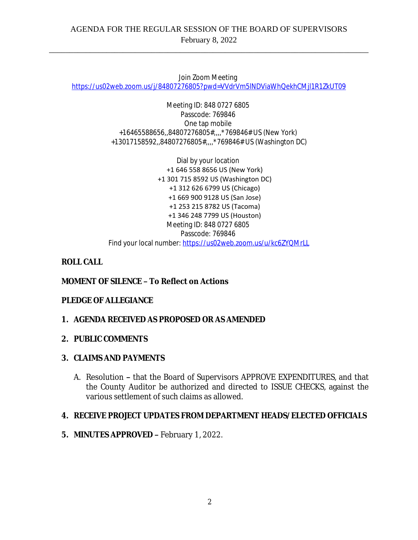Join Zoom Meeting

[https://us02web.zoom.us/j/84807276805?pwd=VVdrVm5lNDViaWhQekhCMjl1R1ZkUT09](https://gcc02.safelinks.protection.outlook.com/?url=https%3A%2F%2Fus02web.zoom.us%2Fj%2F84807276805%3Fpwd%3DVVdrVm5lNDViaWhQekhCMjl1R1ZkUT09&data=04%7C01%7Cllamb%40blackhawkcounty.iowa.gov%7Cc35c57b2bbfa46cc019b08d9e66d2d86%7C9960f5b6faae4bb3a122c43aceeaa06d%7C0%7C0%7C637794178867756223%7CUnknown%7CTWFpbGZsb3d8eyJWIjoiMC4wLjAwMDAiLCJQIjoiV2luMzIiLCJBTiI6Ik1haWwiLCJXVCI6Mn0%3D%7C3000&sdata=kI7mIMN5XIBe6N%2FhFG00E4C4CjwngYyI2IE6wnvXfGE%3D&reserved=0)

Meeting ID: 848 0727 6805 Passcode: 769846 One tap mobile +16465588656,,84807276805#,,,,\*769846# US (New York) +13017158592,,84807276805#,,,,\*769846# US (Washington DC)

Dial by your location +1 646 558 8656 US (New York) +1 301 715 8592 US (Washington DC) +1 312 626 6799 US (Chicago) +1 669 900 9128 US (San Jose) +1 253 215 8782 US (Tacoma) +1 346 248 7799 US (Houston) Meeting ID: 848 0727 6805 Passcode: 769846 Find your local number: [https://us02web.zoom.us/u/kc6ZYQMrLL](https://gcc02.safelinks.protection.outlook.com/?url=https%3A%2F%2Fus02web.zoom.us%2Fu%2Fkc6ZYQMrLL&data=04%7C01%7Cllamb%40blackhawkcounty.iowa.gov%7Cc35c57b2bbfa46cc019b08d9e66d2d86%7C9960f5b6faae4bb3a122c43aceeaa06d%7C0%7C0%7C637794178867756223%7CUnknown%7CTWFpbGZsb3d8eyJWIjoiMC4wLjAwMDAiLCJQIjoiV2luMzIiLCJBTiI6Ik1haWwiLCJXVCI6Mn0%3D%7C3000&sdata=Fr%2F8TjJjPa4JPedc4CTheEl0FHv9nQPQj2lXOKPZBs8%3D&reserved=0)

### **ROLL CALL**

### **MOMENT OF SILENCE – To Reflect on Actions**

### **PLEDGE OF ALLEGIANCE**

### **1. AGENDA RECEIVED AS PROPOSED OR AS AMENDED**

#### **2. PUBLIC COMMENTS**

### **3. CLAIMS AND PAYMENTS**

A. Resolution **–** that the Board of Supervisors APPROVE EXPENDITURES, and that the County Auditor be authorized and directed to ISSUE CHECKS, against the various settlement of such claims as allowed.

### **4. RECEIVE PROJECT UPDATES FROM DEPARTMENT HEADS/ELECTED OFFICIALS**

**5. MINUTES APPROVED –** February 1, 2022.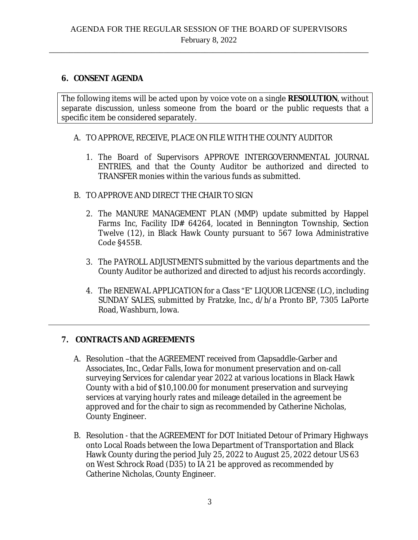### **6. CONSENT AGENDA**

The following items will be acted upon by voice vote on a single **RESOLUTION**, without separate discussion, unless someone from the board or the public requests that a specific item be considered separately.

- A. TO APPROVE, RECEIVE, PLACE ON FILE WITH THE COUNTY AUDITOR
	- 1. The Board of Supervisors APPROVE INTERGOVERNMENTAL JOURNAL ENTRIES, and that the County Auditor be authorized and directed to TRANSFER monies within the various funds as submitted.
- B. TO APPROVE AND DIRECT THE CHAIR TO SIGN
	- 2. The MANURE MANAGEMENT PLAN (MMP) update submitted by Happel Farms Inc, Facility ID# 64264, located in Bennington Township, Section Twelve (12), in Black Hawk County pursuant to 567 Iowa Administrative Code §455B.
	- 3. The PAYROLL ADJUSTMENTS submitted by the various departments and the County Auditor be authorized and directed to adjust his records accordingly.
	- 4. The RENEWAL APPLICATION for a Class "E" LIQUOR LICENSE (LC), including SUNDAY SALES, submitted by Fratzke, Inc., d/b/a Pronto BP, 7305 LaPorte Road, Washburn, Iowa.

### **7. CONTRACTS AND AGREEMENTS**

- A. Resolution –that the AGREEMENT received from Clapsaddle-Garber and Associates, Inc., Cedar Falls, Iowa for monument preservation and on-call surveying Services for calendar year 2022 at various locations in Black Hawk County with a bid of \$10,100.00 for monument preservation and surveying services at varying hourly rates and mileage detailed in the agreement be approved and for the chair to sign as recommended by Catherine Nicholas, County Engineer.
- B. Resolution that the AGREEMENT for DOT Initiated Detour of Primary Highways onto Local Roads between the Iowa Department of Transportation and Black Hawk County during the period July 25, 2022 to August 25, 2022 detour US 63 on West Schrock Road (D35) to IA 21 be approved as recommended by Catherine Nicholas, County Engineer.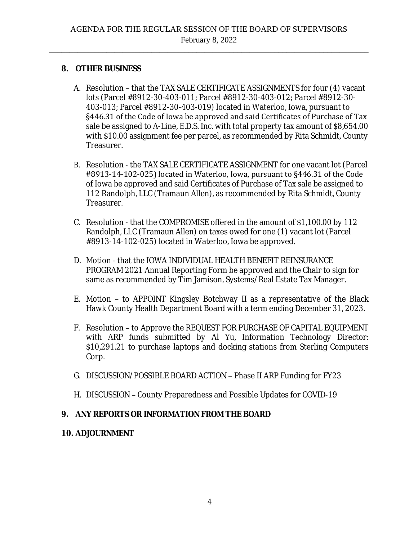### **8. OTHER BUSINESS**

- A. Resolution that the TAX SALE CERTIFICATE ASSIGNMENTS for four (4) vacant lots (Parcel #8912-30-403-011; Parcel #8912-30-403-012; Parcel #8912-30- 403-013; Parcel #8912-30-403-019) located in Waterloo, Iowa, pursuant to §446.31 of the Code of Iowa be approved and said Certificates of Purchase of Tax sale be assigned to A-Line, E.D.S. Inc. with total property tax amount of \$8,654.00 with \$10.00 assignment fee per parcel, as recommended by Rita Schmidt, County Treasurer.
- B. Resolution the TAX SALE CERTIFICATE ASSIGNMENT for one vacant lot (Parcel #8913-14-102-025) located in Waterloo, Iowa, pursuant to §446.31 of the Code of Iowa be approved and said Certificates of Purchase of Tax sale be assigned to 112 Randolph, LLC (Tramaun Allen), as recommended by Rita Schmidt, County Treasurer.
- C. Resolution that the COMPROMISE offered in the amount of \$1,100.00 by 112 Randolph, LLC (Tramaun Allen) on taxes owed for one (1) vacant lot (Parcel #8913-14-102-025) located in Waterloo, Iowa be approved.
- D. Motion that the IOWA INDIVIDUAL HEALTH BENEFIT REINSURANCE PROGRAM 2021 Annual Reporting Form be approved and the Chair to sign for same as recommended by Tim Jamison, Systems/Real Estate Tax Manager.
- E. Motion to APPOINT Kingsley Botchway II as a representative of the Black Hawk County Health Department Board with a term ending December 31, 2023.
- F. Resolution to Approve the REQUEST FOR PURCHASE OF CAPITAL EQUIPMENT with ARP funds submitted by Al Yu, Information Technology Director: \$10,291.21 to purchase laptops and docking stations from Sterling Computers Corp.
- G. DISCUSSION/POSSIBLE BOARD ACTION Phase II ARP Funding for FY23
- H. DISCUSSION County Preparedness and Possible Updates for COVID-19

## **9. ANY REPORTS OR INFORMATION FROM THE BOARD**

### **10. ADJOURNMENT**